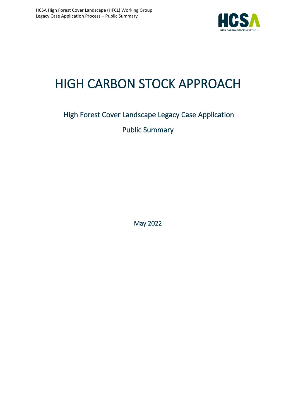

# HIGH CARBON STOCK APPROACH

# High Forest Cover Landscape Legacy Case Application Public Summary

May 2022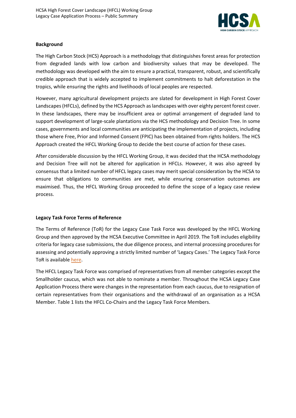

#### **Background**

The High Carbon Stock (HCS) Approach is a methodology that distinguishes forest areas for protection from degraded lands with low carbon and biodiversity values that may be developed. The methodology was developed with the aim to ensure a practical, transparent, robust, and scientifically credible approach that is widely accepted to implement commitments to halt deforestation in the tropics, while ensuring the rights and livelihoods of local peoples are respected.

However, many agricultural development projects are slated for development in High Forest Cover Landscapes (HFCLs), defined by the HCS Approach as landscapes with over eighty percent forest cover. In these landscapes, there may be insufficient area or optimal arrangement of degraded land to support development of large-scale plantations via the HCS methodology and Decision Tree. In some cases, governments and local communities are anticipating the implementation of projects, including those where Free, Prior and Informed Consent (FPIC) has been obtained from rights holders. The HCS Approach created the HFCL Working Group to decide the best course of action for these cases.

After considerable discussion by the HFCL Working Group, it was decided that the HCSA methodology and Decision Tree will not be altered for application in HFCLs. However, it was also agreed by consensus that a limited number of HFCL legacy cases may merit special consideration by the HCSA to ensure that obligations to communities are met, while ensuring conservation outcomes are maximised. Thus, the HFCL Working Group proceeded to define the scope of a legacy case review process.

## **Legacy Task Force Terms of Reference**

The Terms of Reference (ToR) for the Legacy Case Task Force was developed by the HFCL Working Group and then approved by the HCSA Executive Committee in April 2019. The ToR includes eligibility criteria for legacy case submissions, the due diligence process, and internal processing procedures for assessing and potentially approving a strictly limited number of 'Legacy Cases.' The Legacy Task Force ToR is available [here.](https://highcarbonstock.org/wp-content/uploads/2019/05/Legacy-TF-ToR-Final-100519-updated.pdf)

The HFCL Legacy Task Force was comprised of representatives from all member categories except the Smallholder caucus, which was not able to nominate a member. Throughout the HCSA Legacy Case Application Process there were changes in the representation from each caucus, due to resignation of certain representatives from their organisations and the withdrawal of an organisation as a HCSA Member. Table 1 lists the HFCL Co-Chairs and the Legacy Task Force Members.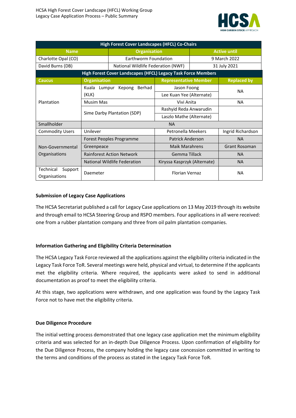

| <b>High Forest Cover Landscapes (HFCL) Co-Chairs</b>          |                                    |                                         |                       |                      |  |
|---------------------------------------------------------------|------------------------------------|-----------------------------------------|-----------------------|----------------------|--|
| <b>Name</b>                                                   | <b>Organisation</b>                |                                         | <b>Active until</b>   |                      |  |
| Charlotte Opal (CO)                                           | Earthworm Foundation               |                                         | 9 March 2022          |                      |  |
| David Burns (DB)                                              | National Wildlife Federation (NWF) |                                         |                       | 31 July 2021         |  |
| High Forest Cover Landscapes (HFCL) Legacy Task Force Members |                                    |                                         |                       |                      |  |
| <b>Caucus</b>                                                 | <b>Organisation</b>                | <b>Representative Member</b>            |                       | <b>Replaced by</b>   |  |
|                                                               | Kuala<br>Lumpur Kepong<br>Berhad   | Jason Foong<br>Lee Kuan Yee (Alternate) |                       | <b>NA</b>            |  |
| Plantation                                                    | (KLK)                              |                                         |                       |                      |  |
|                                                               | Musim Mas                          | Vivi Anita                              |                       | <b>NA</b>            |  |
|                                                               |                                    | Rashyid Reda Anwarudin                  |                       |                      |  |
|                                                               | Sime Darby Plantation (SDP)        | Laszlo Mathe (Alternate)                |                       |                      |  |
| Smallholder                                                   | <b>NA</b>                          |                                         |                       |                      |  |
| <b>Commodity Users</b>                                        | Unilever                           | <b>Petronella Meekers</b>               |                       | Ingrid Richardson    |  |
|                                                               | Forest Peoples Programme           | <b>Patrick Anderson</b>                 |                       | <b>NA</b>            |  |
| Non-Governmental                                              | Greenpeace                         | <b>Maik Marahrens</b>                   |                       | <b>Grant Rosoman</b> |  |
| Organisations                                                 | <b>Rainforest Action Network</b>   | Gemma Tillack                           |                       | <b>NA</b>            |  |
|                                                               | National Wildlife Federation       | Kiryssa Kasprzyk (Alternate)            |                       | <b>NA</b>            |  |
| Support<br>Technical                                          | Daemeter                           |                                         | <b>Florian Vernaz</b> |                      |  |
| Organisations                                                 |                                    |                                         | <b>NA</b>             |                      |  |

## **Submission of Legacy Case Applications**

The HCSA Secretariat published a call for Legacy Case applications on 13 May 2019 through its website and through email to HCSA Steering Group and RSPO members. Four applications in all were received: one from a rubber plantation company and three from oil palm plantation companies.

#### **Information Gathering and Eligibility Criteria Determination**

The HCSA Legacy Task Force reviewed all the applications against the eligibility criteria indicated in the Legacy Task Force ToR. Several meetings were held, physical and virtual, to determine if the applicants met the eligibility criteria. Where required, the applicants were asked to send in additional documentation as proof to meet the eligibility criteria.

At this stage, two applications were withdrawn, and one application was found by the Legacy Task Force not to have met the eligibility criteria.

#### **Due Diligence Procedure**

The initial vetting process demonstrated that one legacy case application met the minimum eligibility criteria and was selected for an in-depth Due Diligence Process. Upon confirmation of eligibility for the Due Diligence Process, the company holding the legacy case concession committed in writing to the terms and conditions of the process as stated in the Legacy Task Force ToR.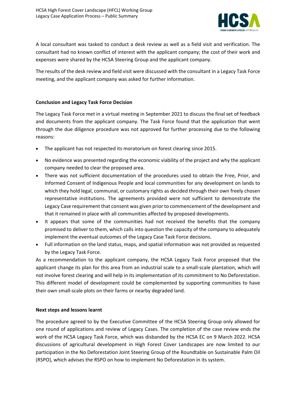

A local consultant was tasked to conduct a desk review as well as a field visit and verification. The consultant had no known conflict of interest with the applicant company; the cost of their work and expenses were shared by the HCSA Steering Group and the applicant company.

The results of the desk review and field visit were discussed with the consultant in a Legacy Task Force meeting, and the applicant company was asked for further information.

## **Conclusion and Legacy Task Force Decision**

The Legacy Task Force met in a virtual meeting in September 2021 to discuss the final set of feedback and documents from the applicant company. The Task Force found that the application that went through the due diligence procedure was not approved for further processing due to the following reasons:

- The applicant has not respected its moratorium on forest clearing since 2015.
- No evidence was presented regarding the economic viability of the project and why the applicant company needed to clear the proposed area.
- There was not sufficient documentation of the procedures used to obtain the Free, Prior, and Informed Consent of Indigenous People and local communities for any development on lands to which they hold legal, communal, or customary rights as decided through their own freely chosen representative institutions. The agreements provided were not sufficient to demonstrate the Legacy Case requirement that consent was given prior to commencement of the development and that it remained in place with all communities affected by proposed developments.
- It appears that some of the communities had not received the benefits that the company promised to deliver to them, which calls into question the capacity of the company to adequately implement the eventual outcomes of the Legacy Case Task Force decisions.
- Full information on the land status, maps, and spatial information was not provided as requested by the Legacy Task Force.

As a recommendation to the applicant company, the HCSA Legacy Task Force proposed that the applicant change its plan for this area from an industrial scale to a small-scale plantation, which will not involve forest clearing and will help in its implementation of its commitment to No Deforestation. This different model of development could be complemented by supporting communities to have their own small-scale plots on their farms or nearby degraded land.

## **Next steps and lessons learnt**

The procedure agreed to by the Executive Committee of the HCSA Steering Group only allowed for one round of applications and review of Legacy Cases. The completion of the case review ends the work of the HCSA Legacy Task Force, which was disbanded by the HCSA EC on 9 March 2022. HCSA discussions of agricultural development in High Forest Cover Landscapes are now limited to our participation in the No Deforestation Joint Steering Group of the Roundtable on Sustainable Palm Oil (RSPO), which advises the RSPO on how to implement No Deforestation in its system.